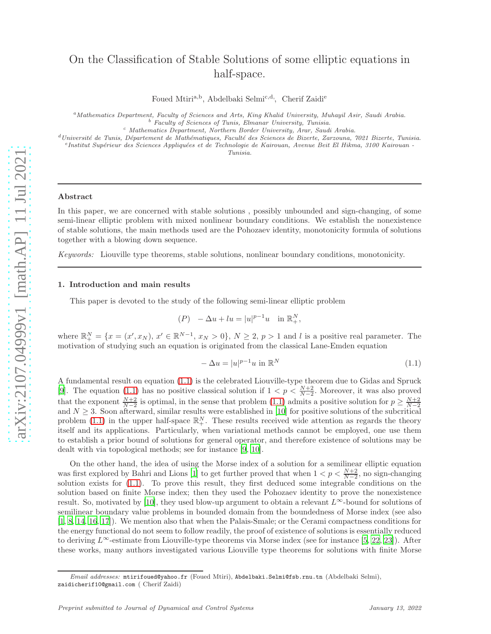# On the Classification of Stable Solutions of some elliptic equations in half-space.

Foued Mtiri<sup>a,b</sup>, Abdelbaki Selmi<sup>c,d,</sup>, Cherif Zaidi<sup>e</sup>

<sup>a</sup>*Mathematics Department, Faculty of Sciences and Arts, King Khalid University, Muhayil Asir, Saudi Arabia.* <sup>b</sup> *Faculty of Sciences of Tunis, Elmanar University, Tunisia.*

<sup>c</sup> *Mathematics Department, Northern Border University, Arar, Saudi Arabia.*

<sup>d</sup>*Universit´e de Tunis, D´epartement de Math´ematiques, Facult´e des Sciences de Bizerte, Zarzouna, 7021 Bizerte, Tunisia.*

<sup>e</sup> Institut Supérieur des Sciences Appliquées et de Technologie de Kairouan, Avenue Beit El Hikma, 3100 Kairouan -

*Tunisia.*

# Abstract

In this paper, we are concerned with stable solutions , possibly unbounded and sign-changing, of some semi-linear elliptic problem with mixed nonlinear boundary conditions. We establish the nonexistence of stable solutions, the main methods used are the Pohozaev identity, monotonicity formula of solutions together with a blowing down sequence.

*Keywords:* Liouville type theorems, stable solutions, nonlinear boundary conditions, monotonicity.

#### 1. Introduction and main results

This paper is devoted to the study of the following semi-linear elliptic problem

$$
(P) - \Delta u + l u = |u|^{p-1} u \quad \text{in } \mathbb{R}^N_+,
$$

where  $\mathbb{R}^N_+ = \{x = (x', x_N), x' \in \mathbb{R}^{N-1}, x_N > 0\}, N \geq 2, p > 1$  and l is a positive real parameter. The motivation of studying such an equation is originated from the classical Lane-Emden equation

<span id="page-0-0"></span>
$$
-\Delta u = |u|^{p-1}u \text{ in } \mathbb{R}^N \tag{1.1}
$$

A fundamental result on equation [\(1.1\)](#page-0-0) is the celebrated Liouville-type theorem due to Gidas and Spruck [\[9\]](#page-11-0). The equation [\(1.1\)](#page-0-0) has no positive classical solution if  $1 < p < \frac{N+2}{N-2}$ . Moreover, it was also proved that the exponent  $\frac{N+2}{N-2}$  is optimal, in the sense that problem [\(1.1\)](#page-0-0) admits a positive solution for  $p \geq \frac{N+2}{N-2}$  and  $N \geq 3$ . Soon afterward, similar results were established in [\[10\]](#page-11-1) for positive solutions of problem [\(1.1\)](#page-0-0) in the upper half-space  $\mathbb{R}^N_+$ . These results received wide attention as regards the theory itself and its applications. Particularly, when variational methods cannot be employed, one use them to establish a prior bound of solutions for general operator, and therefore existence of solutions may be dealt with via topological methods; see for instance [\[9](#page-11-0), [10\]](#page-11-1).

On the other hand, the idea of using the Morse index of a solution for a semilinear elliptic equation was first explored by Bahri and Lions [\[1\]](#page-10-0) to get further proved that when  $1 < p < \frac{N+2}{N-2}$ , no sign-changing solution exists for [\(1.1\)](#page-0-0). To prove this result, they first deduced some integrable conditions on the solution based on finite Morse index; then they used the Pohozaev identity to prove the nonexistence result. So, motivated by [\[10\]](#page-11-1), they used blow-up argument to obtain a relevant  $L^{\infty}$ -bound for solutions of semilinear boundary value problems in bounded domain from the boundedness of Morse index (see also [\[1,](#page-10-0) [8](#page-11-2), [14,](#page-11-3) [16,](#page-11-4) [17](#page-11-5)]). We mention also that when the Palais-Smale; or the Cerami compactness conditions for the energy functional do not seem to follow readily, the proof of existence of solutions is essentially reduced to deriving  $L^{\infty}$ -estimate from Liouville-type theorems via Morse index (see for instance [\[5](#page-11-6), [22,](#page-11-7) [23](#page-11-8)]). After these works, many authors investigated various Liouville type theorems for solutions with finite Morse

*Email addresses:* mtirifoued@yahoo.fr (Foued Mtiri), Abdelbaki.Selmi@fsb.rnu.tn (Abdelbaki Selmi), zaidicherif10@gmail.com ( Cherif Zaidi)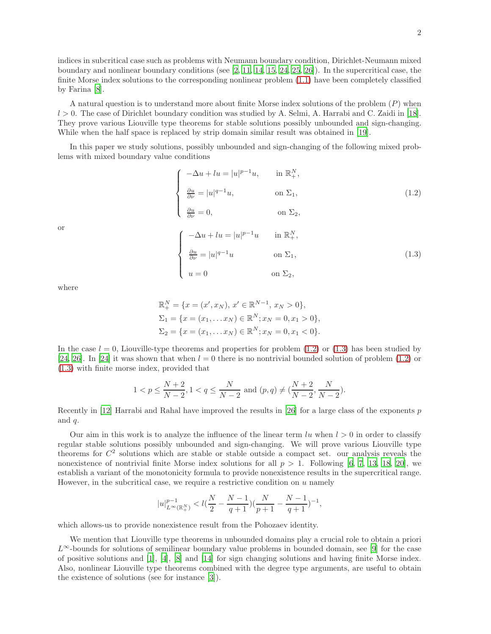indices in subcritical case such as problems with Neumann boundary condition, Dirichlet-Neumann mixed boundary and nonlinear boundary conditions (see [\[2,](#page-10-1) [11](#page-11-9), [14,](#page-11-3) [15](#page-11-10), [24,](#page-11-11) [25,](#page-11-12) [26\]](#page-11-13)). In the supercritical case, the finite Morse index solutions to the corresponding nonlinear problem [\(1.1\)](#page-0-0) have been completely classified by Farina [\[8\]](#page-11-2).

A natural question is to understand more about finite Morse index solutions of the problem (P) when  $l > 0$ . The case of Dirichlet boundary condition was studied by A. Selmi, A. Harrabi and C. Zaidi in [\[18\]](#page-11-14). They prove various Liouville type theorems for stable solutions possibly unbounded and sign-changing. While when the half space is replaced by strip domain similar result was obtained in [\[19](#page-11-15)].

In this paper we study solutions, possibly unbounded and sign-changing of the following mixed problems with mixed boundary value conditions

<span id="page-1-0"></span>
$$
\begin{cases}\n-\Delta u + l u = |u|^{p-1} u, & \text{in } \mathbb{R}^N_+, \\
\frac{\partial u}{\partial \nu} = |u|^{q-1} u, & \text{on } \Sigma_1, \\
\frac{\partial u}{\partial \nu} = 0, & \text{on } \Sigma_2, \\
\left(-\Delta u + l u = |u|^{p-1} u \quad & \text{in } \mathbb{R}^N_+, \right) \\
\frac{\partial u}{\partial \nu} = |u|^{q-1} u & \text{on } \Sigma_1, \\
u = 0 & \text{on } \Sigma_2,\n\end{cases}
$$
\n(1.3)

where

or

<span id="page-1-1"></span>
$$
\mathbb{R}_{+}^{N} = \{x = (x', x_N), x' \in \mathbb{R}^{N-1}, x_N > 0\},
$$
  
\n
$$
\Sigma_{1} = \{x = (x_{1}, \dots x_{N}) \in \mathbb{R}^{N}; x_{N} = 0, x_{1} > 0\},
$$
  
\n
$$
\Sigma_{2} = \{x = (x_{1}, \dots x_{N}) \in \mathbb{R}^{N}; x_{N} = 0, x_{1} < 0\}.
$$

In the case  $l = 0$ , Liouville-type theorems and properties for problem  $(1.2)$  or  $(1.3)$  has been studied by [\[24,](#page-11-11) [26\]](#page-11-13). In [\[24](#page-11-11)] it was shown that when  $l = 0$  there is no nontrivial bounded solution of problem [\(1.2\)](#page-1-0) or [\(1.3\)](#page-1-1) with finite morse index, provided that

$$
1 < p \leq \frac{N+2}{N-2}, 1 < q \leq \frac{N}{N-2} \text{ and } (p,q) \neq (\frac{N+2}{N-2}, \frac{N}{N-2}).
$$

Recently in [\[12\]](#page-11-16) Harrabi and Rahal have improved the results in [\[26](#page-11-13)] for a large class of the exponents p and q.

Our aim in this work is to analyze the influence of the linear term  $lu$  when  $l > 0$  in order to classify regular stable solutions possibly unbounded and sign-changing. We will prove various Liouville type theorems for  $C<sup>2</sup>$  solutions which are stable or stable outside a compact set. our analysis reveals the nonexistence of nontrivial finite Morse index solutions for all  $p > 1$ . Following [\[6,](#page-11-17) [7,](#page-11-18) [13,](#page-11-19) [18,](#page-11-14) [20\]](#page-11-20), we establish a variant of the monotonicity formula to provide nonexistence results in the supercritical range. However, in the subcritical case, we require a restrictive condition on  $u$  namely

$$
|u|_{L^{\infty}(\mathbb{R}^N_+)}^{p-1} < l(\frac{N}{2}-\frac{N-1}{q+1})(\frac{N}{p+1}-\frac{N-1}{q+1})^{-1},
$$

which allows-us to provide nonexistence result from the Pohozaev identity.

We mention that Liouville type theorems in unbounded domains play a crucial role to obtain a priori  $L^{\infty}$ -bounds for solutions of semilinear boundary value problems in bounded domain, see [\[9](#page-11-0)] for the case of positive solutions and [\[1\]](#page-10-0), [\[4\]](#page-10-2), [\[8\]](#page-11-2) and [\[14\]](#page-11-3) for sign changing solutions and having finite Morse index. Also, nonlinear Liouville type theorems combined with the degree type arguments, are useful to obtain the existence of solutions (see for instance [\[3](#page-10-3)]).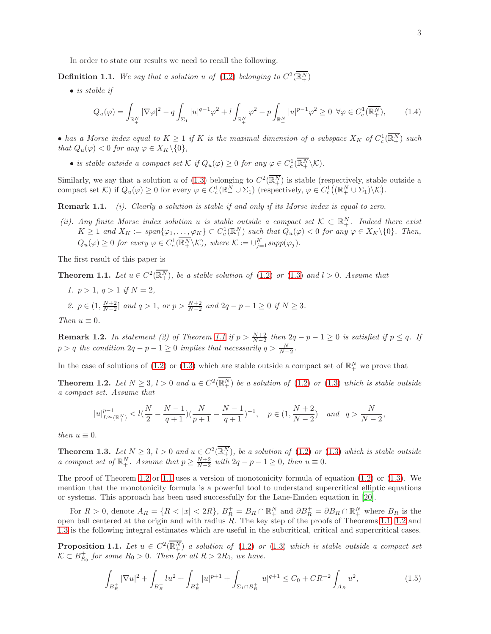In order to state our results we need to recall the following.

**Definition 1.1.** We say that a solution u of  $(1.2)$  belonging to  $C^2(\overline{\mathbb{R}^N_+})$ 

• *is stable if*

<span id="page-2-5"></span>
$$
Q_u(\varphi) = \int_{\mathbb{R}_+^N} |\nabla \varphi|^2 - q \int_{\Sigma_1} |u|^{q-1} \varphi^2 + l \int_{\mathbb{R}_+^N} \varphi^2 - p \int_{\mathbb{R}_+^N} |u|^{p-1} \varphi^2 \ge 0 \ \ \forall \varphi \in C_c^1(\overline{\mathbb{R}_+^N}), \tag{1.4}
$$

• has a Morse index equal to  $K \geq 1$  if K is the maximal dimension of a subspace  $X_K$  of  $C_c^1(\overline{\mathbb{R}^N_+})$  such *that*  $Q_u(\varphi) < 0$  *for any*  $\varphi \in X_K \backslash \{0\}$ *,* 

• *is stable outside a compact set*  $K$  *if*  $Q_u(\varphi) \geq 0$  *for any*  $\varphi \in C_c^1(\overline{\mathbb{R}^N_+} \setminus \mathcal{K})$ *.* 

Similarly, we say that a solution u of [\(1.3\)](#page-1-1) belonging to  $C^2(\overline{\mathbb{R}^N_+})$  is stable (respectively, stable outside a compact set K) if  $Q_u(\varphi) \geq 0$  for every  $\varphi \in C_c^1(\mathbb{R}^N_+ \cup \Sigma_1)$  (respectively,  $\varphi \in C_c^1((\mathbb{R}^N_+ \cup \Sigma_1)\setminus\mathcal{K})$ .

Remark 1.1. *(i). Clearly a solution is stable if and only if its Morse index is equal to zero.*

*(ii). Any finite Morse index solution* u *is stable outside* a compact set  $K \subset \mathbb{R}^N_+$ *. Indeed there exist*  $K \geq 1$  and  $X_K := \text{span}\{\varphi_1, \ldots, \varphi_K\} \subset C_c^1(\mathbb{R}^N_+)$  such that  $Q_u(\varphi) < 0$  for any  $\varphi \in X_K \setminus \{0\}$ . Then,  $Q_u(\varphi) \geq 0$  for every  $\varphi \in C_c^1(\overline{\mathbb{R}^N_+} \setminus \mathcal{K})$ , where  $\mathcal{K} := \bigcup_{j=1}^K supp(\varphi_j)$ .

<span id="page-2-0"></span>The first result of this paper is

**Theorem 1.1.** Let  $u \in C^2(\overline{\mathbb{R}^N_+})$ , be a stable solution of [\(1.2\)](#page-1-0) or [\(1.3\)](#page-1-1) and  $l > 0$ . Assume that

*1.*  $p > 1$ *,*  $q > 1$  *if*  $N = 2$ *,* 2.  $p \in (1, \frac{N+2}{N-2}]$  and  $q > 1$ , or  $p > \frac{N+2}{N-2}$  and  $2q - p - 1 \ge 0$  if  $N \ge 3$ . *Then*  $u \equiv 0$ *.* 

**Remark 1.2.** In statement (2) of Theorem [1.1](#page-2-0) if  $p > \frac{N+2}{N-2}$  then  $2q - p - 1 \ge 0$  is satisfied if  $p \le q$ . If  $p > q$  the condition  $2q - p - 1 \ge 0$  implies that necessarily  $q > \frac{N}{N-2}$ .

In the case of solutions of [\(1.2\)](#page-1-0) or [\(1.3\)](#page-1-1) which are stable outside a compact set of  $\mathbb{R}^N_+$  we prove that

**Theorem 1.2.** Let  $N \geq 3$ ,  $l > 0$  and  $u \in C^2(\overline{\mathbb{R}^N_+})$  be a solution of [\(1.2\)](#page-1-0) or [\(1.3\)](#page-1-1) which is stable outside *a compact set. Assume that*

<span id="page-2-1"></span>
$$
|u|_{L^{\infty}(\mathbb{R}^N_+)}^{p-1} < l(\frac{N}{2}-\frac{N-1}{q+1})(\frac{N}{p+1}-\frac{N-1}{q+1})^{-1}, \quad p \in (1,\frac{N+2}{N-2}) \quad and \quad q > \frac{N}{N-2},
$$

<span id="page-2-2"></span>*then*  $u \equiv 0$ *.* 

**Theorem 1.3.** Let  $N \geq 3$ ,  $l > 0$  and  $u \in C^2(\overline{\mathbb{R}^N_+})$ , be a solution of [\(1.2\)](#page-1-0) or [\(1.3\)](#page-1-1) which is stable outside *a compact set of*  $\mathbb{R}^N_+$ *. Assume that*  $p \geq \frac{N+2}{N-2}$  with  $2q - p - 1 \geq 0$ *, then*  $u \equiv 0$ *.* 

The proof of Theorem [1.2](#page-2-1) or [1.1](#page-2-0) uses a version of monotonicity formula of equation  $(1.2)$  or  $(1.3)$ . We mention that the monotonicity formula is a powerful tool to understand supercritical elliptic equations or systems. This approach has been used successfully for the Lane-Emden equation in [\[20\]](#page-11-20).

For  $R > 0$ , denote  $A_R = \{R < |x| < 2R\}$ ,  $B_R^+ = B_R \cap \mathbb{R}^N_+$  and  $\partial B_R^+ = \partial B_R \cap \mathbb{R}^N_+$  where  $B_R$  is the open ball centered at the origin and with radius  $\overline{R}$ . The key step of the proofs of Theorems [1.1,](#page-2-0) [1.2](#page-2-1) and [1.3](#page-2-2) is the following integral estimates which are useful in the subcritical, critical and supercritical cases.

**Proposition 1.1.** Let  $u \in C^2(\overline{\mathbb{R}^N_+})$  a solution of [\(1.2\)](#page-1-0) or [\(1.3\)](#page-1-1) which is stable outside a compact set  $\mathcal{K} \subset B_{R_0}^+$  for some  $R_0 > 0$ . Then for all  $R > 2R_0$ , we have.

<span id="page-2-4"></span><span id="page-2-3"></span>
$$
\int_{B_R^+} |\nabla u|^2 + \int_{B_R^+} l u^2 + \int_{B_R^+} |u|^{p+1} + \int_{\Sigma_1 \cap B_R^+} |u|^{q+1} \le C_0 + CR^{-2} \int_{A_R} u^2,
$$
\n(1.5)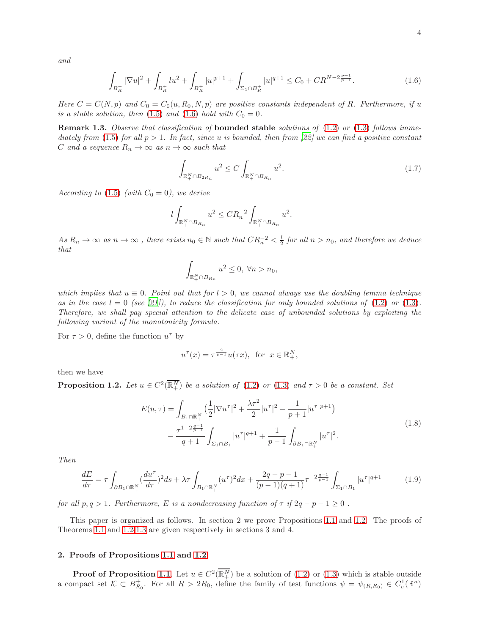<span id="page-3-0"></span>
$$
\int_{B_R^+} |\nabla u|^2 + \int_{B_R^+} lu^2 + \int_{B_R^+} |u|^{p+1} + \int_{\Sigma_1 \cap B_R^+} |u|^{q+1} \le C_0 + CR^{N-2\frac{p+1}{p-1}}.
$$
\n(1.6)

*Here*  $C = C(N, p)$  and  $C_0 = C_0(u, R_0, N, p)$  are positive constants independent of R. Furthermore, if u *is a stable solution, then* [\(1.5\)](#page-2-3) *and* [\(1.6\)](#page-3-0) *hold with*  $C_0 = 0$ *.* 

Remark 1.3. *Observe that classification of* bounded stable *solutions of* [\(1.2\)](#page-1-0) *or* [\(1.3\)](#page-1-1) *follows immediately from* [\(1.5\)](#page-2-3) *for all* p > 1*. In fact, since* u *is bounded, then from [\[22](#page-11-7)] we can find a positive constant* C and a sequence  $R_n \to \infty$  as  $n \to \infty$  such that

$$
\int_{\mathbb{R}_+^N \cap B_{2R_n}} u^2 \le C \int_{\mathbb{R}_+^N \cap B_{R_n}} u^2. \tag{1.7}
$$

*According to* [\(1.5\)](#page-2-3) *(with*  $C_0 = 0$ *), we derive* 

$$
l\int_{\mathbb{R}^N_+\cap B_{R_n}}u^2\leq CR_n^{-2}\int_{\mathbb{R}^N_+\cap B_{R_n}}u^2.
$$

 $As R_n \to \infty$  *as*  $n \to \infty$ , there exists  $n_0 \in \mathbb{N}$  such that  $CR_n^{-2} < \frac{l}{2}$  for all  $n > n_0$ , and therefore we deduce *that*

$$
\int_{\mathbb{R}^N_+\cap B_{R_n}} u^2 \leq 0, \ \forall n > n_0,
$$

*which implies that*  $u \equiv 0$ *. Point out that for*  $l > 0$ *, we cannot always use the doubling lemma technique* as in the case  $l = 0$  (see [\[21](#page-11-21)]), to reduce the classification for only bounded solutions of  $(1.2)$  or  $(1.3)$ . *Therefore, we shall pay special attention to the delicate case of unbounded solutions by exploiting the following variant of the monotonicity formula.*

For  $\tau > 0$ , define the function  $u^{\tau}$  by

<span id="page-3-3"></span><span id="page-3-2"></span>
$$
u^{\tau}(x) = \tau^{\frac{2}{p-1}} u(\tau x), \text{ for } x \in \mathbb{R}^N_+,
$$

<span id="page-3-1"></span>then we have

**Proposition 1.2.** Let  $u \in C^2(\overline{\mathbb{R}^N_+})$  be a solution of [\(1.2\)](#page-1-0) or [\(1.3\)](#page-1-1) and  $\tau > 0$  be a constant. Set

$$
E(u,\tau) = \int_{B_1 \cap \mathbb{R}_+^N} \left(\frac{1}{2} |\nabla u^\tau|^2 + \frac{\lambda \tau^2}{2} |u^\tau|^2 - \frac{1}{p+1} |u^\tau|^{p+1}\right) - \frac{\tau^{1-2\frac{q-1}{p-1}}}{q+1} \int_{\Sigma_1 \cap B_1} |u^\tau|^{q+1} + \frac{1}{p-1} \int_{\partial B_1 \cap \mathbb{R}_+^N} |u^\tau|^2.
$$
\n(1.8)

*Then*

$$
\frac{dE}{d\tau} = \tau \int_{\partial B_1 \cap \mathbb{R}_+^N} \left(\frac{du^\tau}{d\tau}\right)^2 ds + \lambda \tau \int_{B_1 \cap \mathbb{R}_+^N} (u^\tau)^2 dx + \frac{2q - p - 1}{(p - 1)(q + 1)} \tau^{-2\frac{q - 1}{p - 1}} \int_{\Sigma_1 \cap B_1} |u^\tau|^{q + 1} \tag{1.9}
$$

*for all*  $p, q > 1$ *. Furthermore, E is a nondecreasing function of*  $\tau$  *if*  $2q - p - 1 \ge 0$ .

This paper is organized as follows. In section 2 we prove Propositions [1.1](#page-2-4) and [1.2.](#page-3-1) The proofs of Theorems [1.1](#page-2-0) and [1.2-](#page-2-1)[1.3](#page-2-2) are given respectively in sections 3 and 4.

## 2. Proofs of Propositions [1.1](#page-2-4) and [1.2](#page-3-1)

**Proof of Proposition [1.1](#page-2-4)**. Let  $u \in C^2(\overline{\mathbb{R}^N_+})$  be a solution of  $(1.2)$  or  $(1.3)$  which is stable outside a compact set  $\mathcal{K} \subset B_{R_0}^+$ . For all  $R > 2R_0$ , define the family of test functions  $\psi = \psi_{(R,R_0)} \in C_c^1(\mathbb{R}^n)$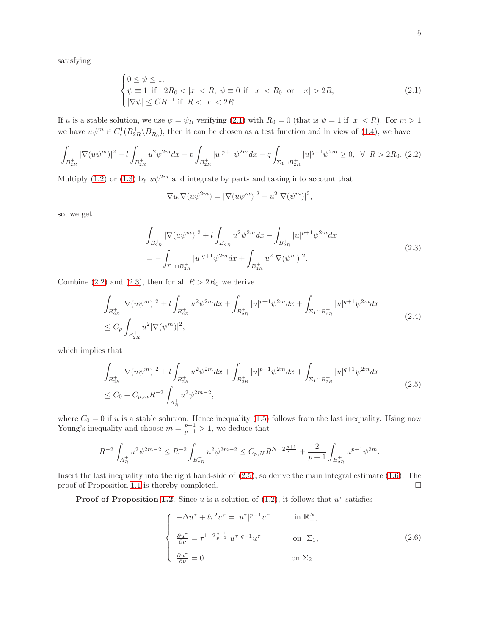satisfying

<span id="page-4-0"></span>
$$
\begin{cases} 0 \le \psi \le 1, \\ \psi \equiv 1 \text{ if } 2R_0 < |x| < R, \ \psi \equiv 0 \text{ if } |x| < R_0 \text{ or } |x| > 2R, \\ |\nabla \psi| \le CR^{-1} \text{ if } R < |x| < 2R. \end{cases}
$$
 (2.1)

If u is a stable solution, we use  $\psi = \psi_R$  verifying [\(2.1\)](#page-4-0) with  $R_0 = 0$  (that is  $\psi = 1$  if  $|x| < R$ ). For  $m > 1$ we have  $u\psi^m \in C_c^1(B_{2R}^+\backslash B_{R_0}^+)$ , then it can be chosen as a test function and in view of [\(1.4\)](#page-2-5), we have

<span id="page-4-1"></span>
$$
\int_{B_{2R}^+} |\nabla(u\psi^m)|^2 + l \int_{B_{2R}^+} u^2 \psi^{2m} dx - p \int_{B_{2R}^+} |u|^{p+1} \psi^{2m} dx - q \int_{\Sigma_1 \cap B_{2R}^+} |u|^{q+1} \psi^{2m} \ge 0, \ \ \forall \ \ R > 2R_0. \ (2.2)
$$

Multiply [\(1.2\)](#page-1-0) or [\(1.3\)](#page-1-1) by  $u\psi^{2m}$  and integrate by parts and taking into account that

<span id="page-4-2"></span>
$$
\nabla u.\nabla (u\psi^{2m}) = |\nabla (u\psi^m)|^2 - u^2 |\nabla (\psi^m)|^2,
$$

so, we get

$$
\int_{B_{2R}^+} |\nabla(u\psi^m)|^2 + l \int_{B_{2R}^+} u^2 \psi^{2m} dx - \int_{B_{2R}^+} |u|^{p+1} \psi^{2m} dx
$$
\n
$$
= - \int_{\Sigma_1 \cap B_{2R}^+} |u|^{q+1} \psi^{2m} dx + \int_{B_{2R}^+} u^2 |\nabla(\psi^m)|^2.
$$
\n(2.3)

Combine [\(2.2\)](#page-4-1) and [\(2.3\)](#page-4-2), then for all  $R > 2R_0$  we derive

$$
\int_{B_{2R}^+} |\nabla(u\psi^m)|^2 + l \int_{B_{2R}^+} u^2 \psi^{2m} dx + \int_{B_{2R}^+} |u|^{p+1} \psi^{2m} dx + \int_{\Sigma_1 \cap B_{2R}^+} |u|^{q+1} \psi^{2m} dx
$$
\n
$$
\leq C_p \int_{B_{2R}^+} u^2 |\nabla(\psi^m)|^2,
$$
\n(2.4)

which implies that

$$
\int_{B_{2R}^+} |\nabla(u\psi^m)|^2 + l \int_{B_{2R}^+} u^2 \psi^{2m} dx + \int_{B_{2R}^+} |u|^{p+1} \psi^{2m} dx + \int_{\Sigma_1 \cap B_{2R}^+} |u|^{q+1} \psi^{2m} dx
$$
\n
$$
\leq C_0 + C_{p,m} R^{-2} \int_{A_R^+} u^2 \psi^{2m-2},
$$
\n(2.5)

where  $C_0 = 0$  if u is a stable solution. Hence inequality [\(1.5\)](#page-2-3) follows from the last inequality. Using now Young's inequality and choose  $m = \frac{p+1}{p-1} > 1$ , we deduce that

$$
R^{-2} \int_{A_R^+} u^2 \psi^{2m-2} \le R^{-2} \int_{B_{2R}^+} u^2 \psi^{2m-2} \le C_{p,N} R^{N-2\frac{p+1}{p-1}} + \frac{2}{p+1} \int_{B_{2R}^+} u^{p+1} \psi^{2m}.
$$

Insert the last inequality into the right hand-side of [\(2.5\)](#page-4-3), so derive the main integral estimate [\(1.6\)](#page-3-0). The proof of Proposition [1.1](#page-2-4) is thereby completed.  $\square$ 

**Proof of Proposition [1.2](#page-3-1)**. Since u is a solution of  $(1.2)$ , it follows that  $u^{\tau}$  satisfies

<span id="page-4-4"></span><span id="page-4-3"></span>
$$
\begin{cases}\n-\Delta u^{\tau} + l\tau^2 u^{\tau} = |u^{\tau}|^{p-1} u^{\tau} & \text{in } \mathbb{R}^N_+, \\
\frac{\partial u^{\tau}}{\partial \nu} = \tau^{1-2\frac{q-1}{p-1}} |u^{\tau}|^{q-1} u^{\tau} & \text{on } \Sigma_1, \\
\frac{\partial u^{\tau}}{\partial \nu} = 0 & \text{on } \Sigma_2.\n\end{cases}
$$
\n(2.6)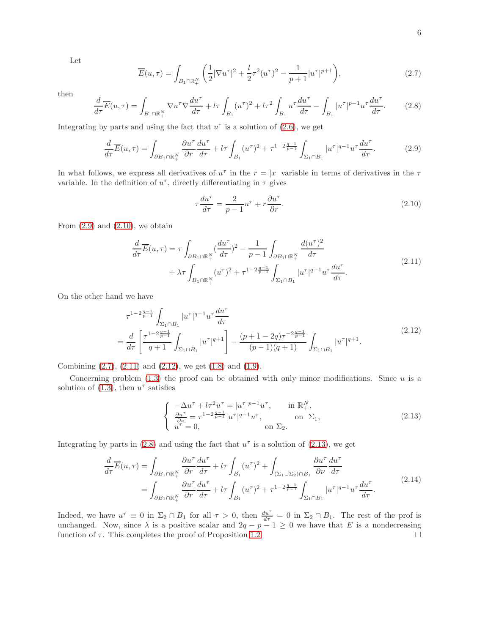Let

<span id="page-5-2"></span>
$$
\overline{E}(u,\tau) = \int_{B_1 \cap \mathbb{R}_+^N} \left( \frac{1}{2} |\nabla u^\tau|^2 + \frac{l}{2} \tau^2 (u^\tau)^2 - \frac{1}{p+1} |u^\tau|^{p+1} \right),\tag{2.7}
$$

then

<span id="page-5-5"></span>
$$
\frac{d}{d\tau}\overline{E}(u,\tau) = \int_{B_1 \cap \mathbb{R}^N_+} \nabla u^{\tau} \nabla \frac{du^{\tau}}{d\tau} + l\tau \int_{B_1} (u^{\tau})^2 + l\tau^2 \int_{B_1} u^{\tau} \frac{du^{\tau}}{d\tau} - \int_{B_1} |u^{\tau}|^{p-1} u^{\tau} \frac{du^{\tau}}{d\tau}.
$$
 (2.8)

Integrating by parts and using the fact that  $u^{\tau}$  is a solution of [\(2.6\)](#page-4-4), we get

<span id="page-5-0"></span>
$$
\frac{d}{d\tau}\overline{E}(u,\tau) = \int_{\partial B_1 \cap \mathbb{R}_+^N} \frac{\partial u^\tau}{\partial r} \frac{du^\tau}{d\tau} + l\tau \int_{B_1} (u^\tau)^2 + \tau^{1-2\frac{q-1}{p-1}} \int_{\Sigma_1 \cap B_1} |u^\tau|^{q-1} u^\tau \frac{du^\tau}{d\tau}.
$$
(2.9)

In what follows, we express all derivatives of  $u^{\tau}$  in the  $r = |x|$  variable in terms of derivatives in the  $\tau$ variable. In the definition of  $u^{\tau}$ , directly differentiating in  $\tau$  gives

<span id="page-5-4"></span><span id="page-5-3"></span><span id="page-5-1"></span>
$$
\tau \frac{du^{\tau}}{d\tau} = \frac{2}{p-1} u^{\tau} + r \frac{\partial u^{\tau}}{\partial r}.
$$
\n(2.10)

From  $(2.9)$  and  $(2.10)$ , we obtain

$$
\frac{d}{d\tau}\overline{E}(u,\tau) = \tau \int_{\partial B_1 \cap \mathbb{R}_+^N} (\frac{du^{\tau}}{d\tau})^2 - \frac{1}{p-1} \int_{\partial B_1 \cap \mathbb{R}_+^N} \frac{d(u^{\tau})^2}{d\tau} + \lambda \tau \int_{B_1 \cap \mathbb{R}_+^N} (u^{\tau})^2 + \tau^{1-2\frac{q-1}{p-1}} \int_{\Sigma_1 \cap B_1} |u^{\tau}|^{q-1} u^{\tau} \frac{du^{\tau}}{d\tau}.
$$
\n(2.11)

On the other hand we have

$$
\tau^{1-2\frac{q-1}{p-1}} \int_{\Sigma_1 \cap B_1} |u^\tau|^{q-1} u^\tau \frac{du^\tau}{d\tau}
$$
\n
$$
= \frac{d}{d\tau} \left[ \frac{\tau^{1-2\frac{q-1}{p-1}}}{q+1} \int_{\Sigma_1 \cap B_1} |u^\tau|^{q+1} \right] - \frac{(p+1-2q)\tau^{-2\frac{q-1}{p-1}}}{(p-1)(q+1)} \int_{\Sigma_1 \cap B_1} |u^\tau|^{q+1}.
$$
\n(2.12)

Combining  $(2.7)$ ,  $(2.11)$  and  $(2.12)$ , we get  $(1.8)$  and  $(1.9)$ .

Concerning problem  $(1.3)$  the proof can be obtained with only minor modifications. Since u is a solution of  $(1.3)$ , then  $u^{\tau}$  satisfies

<span id="page-5-6"></span>
$$
\begin{cases}\n-\Delta u^{\tau} + l\tau^2 u^{\tau} = |u^{\tau}|^{p-1} u^{\tau}, & \text{in } \mathbb{R}_+^N, \\
\frac{\partial u^{\tau}}{\partial \nu} = \tau^{1-2\frac{q-1}{p-1}} |u^{\tau}|^{q-1} u^{\tau}, & \text{on } \Sigma_1, \\
u^{\tau} = 0, & \text{on } \Sigma_2.\n\end{cases}
$$
\n(2.13)

Integrating by parts in [\(2.8\)](#page-5-5) and using the fact that  $u^{\tau}$  is a solution of [\(2.13\)](#page-5-6), we get

$$
\frac{d}{d\tau}\overline{E}(u,\tau) = \int_{\partial B_1 \cap \mathbb{R}_+^N} \frac{\partial u^\tau}{\partial r} \frac{du^\tau}{d\tau} + l\tau \int_{B_1} (u^\tau)^2 + \int_{(\Sigma_1 \cup \Sigma_2) \cap B_1} \frac{\partial u^\tau}{\partial \nu} \frac{du^\tau}{d\tau}
$$
\n
$$
= \int_{\partial B_1 \cap \mathbb{R}_+^N} \frac{\partial u^\tau}{\partial r} \frac{du^\tau}{d\tau} + l\tau \int_{B_1} (u^\tau)^2 + \tau^{1-2\frac{q-1}{p-1}} \int_{\Sigma_1 \cap B_1} |u^\tau|^{q-1} u^\tau \frac{du^\tau}{d\tau}.
$$
\n(2.14)

Indeed, we have  $u^{\tau} \equiv 0$  in  $\Sigma_2 \cap B_1$  for all  $\tau > 0$ , then  $\frac{du^{\tau}}{d\tau} = 0$  in  $\Sigma_2 \cap B_1$ . The rest of the prof is unchanged. Now, since  $\lambda$  is a positive scalar and  $2q - p - 1 \geq 0$  we have that E is a nondecreasing function of  $\tau$ . This completes the proof of Proposition [1.2.](#page-3-1)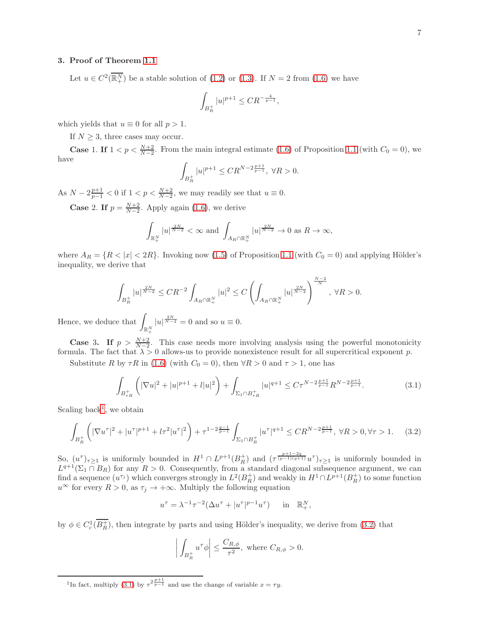## 3. Proof of Theorem [1.1](#page-2-0)

Let  $u \in C^2(\overline{\mathbb{R}^N_+})$  be a stable solution of  $(1.2)$  or  $(1.3)$ . If  $N = 2$  from  $(1.6)$  we have

$$
\int_{B_R^+} |u|^{p+1} \le C R^{-\frac{4}{p-1}},
$$

which yields that  $u \equiv 0$  for all  $p > 1$ .

If  $N \geq 3$ , three cases may occur.

**Case** 1. If  $1 < p < \frac{N+2}{N-2}$ . From the main integral estimate [\(1.6\)](#page-3-0) of Proposition [1.1](#page-2-4) (with  $C_0 = 0$ ), we have

$$
\int_{B_R^+} |u|^{p+1} \le C R^{N-2\frac{p+1}{p-1}}, \ \forall R > 0.
$$

As  $N-2\frac{p+1}{p-1}<0$  if  $1 < p < \frac{N+2}{N-2}$ , we may readily see that  $u \equiv 0$ .

**Case** 2. If  $p = \frac{N+2}{N-2}$ . Apply again [\(1.6\)](#page-3-0), we derive

$$
\int_{\mathbb{R}_+^N} |u|^{\frac{2N}{N-2}} < \infty \text{ and } \int_{A_R \cap \mathbb{R}_+^N} |u|^{\frac{2N}{N-2}} \to 0 \text{ as } R \to \infty,
$$

where  $A_R = \{R < |x| < 2R\}$ . Invoking now [\(1.5\)](#page-2-3) of Proposition [1.1](#page-2-4) (with  $C_0 = 0$ ) and applying Hölder's inequality, we derive that

$$
\int_{B_R^+}|u|^{\frac{2N}{N-2}}\leq CR^{-2}\int_{A_R\cap\mathbb{R}^N_+}|u|^2\leq C\left(\int_{A_R\cap\mathbb{R}^N_+}|u|^{\frac{2N}{N-2}}\right)^{\frac{N-2}{N}},\ \forall R>0.
$$

Hence, we deduce that  $\int_{\mathbb{R}^N_+}$  $|u|^{\frac{2N}{N-2}}=0$  and so  $u\equiv 0$ .

**Case 3.** If  $p > \frac{N+2}{N-2}$ . This case needs more involving analysis using the powerful monotonicity formula. The fact that  $\lambda > 0$  allows-us to provide nonexistence result for all supercritical exponent p.

Substitute R by  $\tau R$  in [\(1.6\)](#page-3-0) (with  $C_0 = 0$ ), then  $\forall R > 0$  and  $\tau > 1$ , one has

<span id="page-6-2"></span>
$$
\int_{B_{\tau_R}^+} \left( |\nabla u|^2 + |u|^{p+1} + l |u|^2 \right) + \int_{\Sigma_1 \cap B_{\tau_R}^+} |u|^{q+1} \le C\tau^{N-2\frac{p+1}{p-1}} R^{N-2\frac{p+1}{p-1}}.
$$
\n(3.1)

Scaling back<sup>[1](#page-6-0)</sup>, we obtain

<span id="page-6-1"></span>
$$
\int_{B_R^+} \left( |\nabla u^{\tau}|^2 + |u^{\tau}|^{p+1} + l\tau^2 |u^{\tau}|^2 \right) + \tau^{1-2\frac{q-1}{p-1}} \int_{\Sigma_1 \cap B_R^+} |u^{\tau}|^{q+1} \leq CR^{N-2\frac{p+1}{p-1}}, \ \forall R > 0, \forall \tau > 1. \tag{3.2}
$$

So,  $(u^{\tau})_{\tau\geq 1}$  is uniformly bounded in  $H^1 \cap L^{p+1}(B_R^+)$  and  $(\tau^{\frac{p+1-2q}{(p-1)(q+1)}}u^{\tau})_{\tau\geq 1}$  is uniformly bounded in  $L^{q+1}(\Sigma_1 \cap B_R)$  for any  $R > 0$ . Consequently, from a standard diagonal subsequence argument, we can find a sequence  $(u^{\tau_j})$  which converges strongly in  $L^2(B_R^+)$  and weakly in  $H^1 \cap L^{p+1}(B_R^+)$  to some function  $u^{\infty}$  for every  $R > 0$ , as  $\tau_j \to +\infty$ . Multiply the following equation

$$
u^{\tau} = \lambda^{-1} \tau^{-2} (\Delta u^{\tau} + |u^{\tau}|^{p-1} u^{\tau}) \quad \text{in} \quad \mathbb{R}^N_+,
$$

by  $\phi \in C_c^1(\overline{B_R^+})$ , then integrate by parts and using Hölder's inequality, we derive from [\(3.2\)](#page-6-1) that

$$
\left| \int_{B_R^+} u^\tau \phi \right| \le \frac{C_{R,\phi}}{\tau^2}, \text{ where } C_{R,\phi} > 0.
$$

<span id="page-6-0"></span><sup>&</sup>lt;sup>1</sup>In fact, multiply [\(3.1\)](#page-6-2) by  $\tau^{2\frac{p+1}{p-1}}$  and use the change of variable  $x = \tau y$ .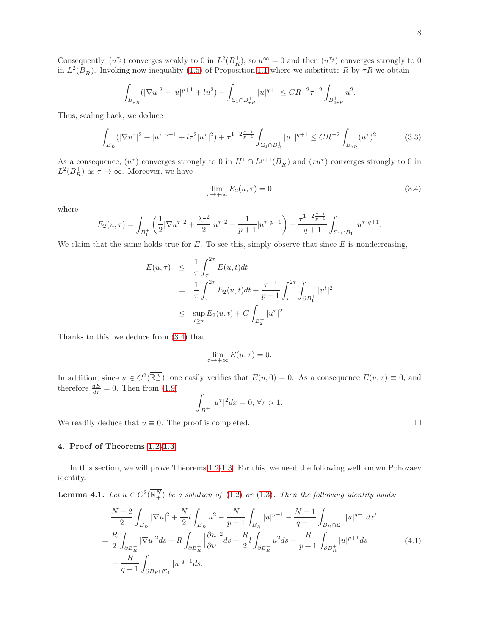Consequently,  $(u^{\tau_j})$  converges weakly to 0 in  $L^2(B_R^+)$ , so  $u^{\infty} = 0$  and then  $(u^{\tau_j})$  converges strongly to 0 in  $L^2(B_R^+)$ . Invoking now inequality [\(1.5\)](#page-2-3) of Proposition [1.1](#page-2-4) where we substitute R by  $\tau R$  we obtain

$$
\int_{B_{\tau_R}^+} (|\nabla u|^2 + |u|^{p+1} + lu^2) + \int_{\Sigma_1 \cap B_{\tau_R}^+} |u|^{q+1} \leq CR^{-2} \tau^{-2} \int_{B_{2\tau_R}^+} u^2.
$$

Thus, scaling back, we deduce

$$
\int_{B_R^+} (|\nabla u^\tau|^2 + |u^\tau|^{p+1} + l\tau^2 |u^\tau|^2) + \tau^{1-2\frac{q-1}{p-1}} \int_{\Sigma_1 \cap B_R^+} |u^\tau|^{q+1} \le CR^{-2} \int_{B_{2R}^+} (u^\tau)^2. \tag{3.3}
$$

As a consequence,  $(u^{\tau})$  converges strongly to 0 in  $H^1 \cap L^{p+1}(B_R^+)$  and  $(\tau u^{\tau})$  converges strongly to 0 in  $L^2(B_R^+)$  as  $\tau \to \infty$ . Moreover, we have

<span id="page-7-0"></span>
$$
\lim_{\tau \to +\infty} E_2(u, \tau) = 0,\tag{3.4}
$$

where

$$
E_2(u,\tau) = \int_{B_1^+} \left( \frac{1}{2} |\nabla u^{\tau}|^2 + \frac{\lambda \tau^2}{2} |u^{\tau}|^2 - \frac{1}{p+1} |u^{\tau}|^{p+1} \right) - \frac{\tau^{1-2\frac{q-1}{p-1}}}{q+1} \int_{\Sigma_1 \cap B_1} |u^{\tau}|^{q+1}.
$$

We claim that the same holds true for  $E$ . To see this, simply observe that since  $E$  is nondecreasing,

$$
E(u,\tau) \leq \frac{1}{\tau} \int_{\tau}^{2\tau} E(u,t)dt
$$
  
=  $\frac{1}{\tau} \int_{\tau}^{2\tau} E_2(u,t)dt + \frac{\tau^{-1}}{p-1} \int_{\tau}^{2\tau} \int_{\partial B_1^+} |u^t|^2$   
 $\leq \sup_{t \geq \tau} E_2(u,t) + C \int_{B_2^+} |u^{\tau}|^2.$ 

Thanks to this, we deduce from [\(3.4\)](#page-7-0) that

$$
\lim_{\tau \to +\infty} E(u, \tau) = 0.
$$

In addition, since  $u \in C^2(\overline{\mathbb{R}^N_+})$ , one easily verifies that  $E(u, 0) = 0$ . As a consequence  $E(u, \tau) \equiv 0$ , and therefore  $\frac{dE}{d\tau} = 0$ . Then from [\(1.9\)](#page-3-3)

$$
\int_{B_1^+} |u^{\tau}|^2 dx = 0, \,\forall \tau > 1.
$$

We readily deduce that  $u \equiv 0$ . The proof is completed.

# 4. Proof of Theorems [1.2](#page-2-1)[-1.3](#page-2-2)

In this section, we will prove Theorems [1.2-](#page-2-1)[1.3.](#page-2-2) For this, we need the following well known Pohozaev identity.

**Lemma 4.1.** Let  $u \in C^2(\overline{\mathbb{R}^N_+})$  be a solution of [\(1.2\)](#page-1-0) or [\(1.3\)](#page-1-1). Then the following identity holds:

$$
\frac{N-2}{2} \int_{B_R^+} |\nabla u|^2 + \frac{N}{2} l \int_{B_R^+} u^2 - \frac{N}{p+1} \int_{B_R^+} |u|^{p+1} - \frac{N-1}{q+1} \int_{B_R \cap \Sigma_1} |u|^{q+1} dx'
$$
\n
$$
= \frac{R}{2} \int_{\partial B_R^+} |\nabla u|^2 ds - R \int_{\partial B_R^+} \left| \frac{\partial u}{\partial \nu} \right|^2 ds + \frac{R}{2} l \int_{\partial B_R^+} u^2 ds - \frac{R}{p+1} \int_{\partial B_R^+} |u|^{p+1} ds \tag{4.1}
$$
\n
$$
- \frac{R}{q+1} \int_{\partial B_R \cap \Sigma_1} |u|^{q+1} ds.
$$

<span id="page-7-1"></span>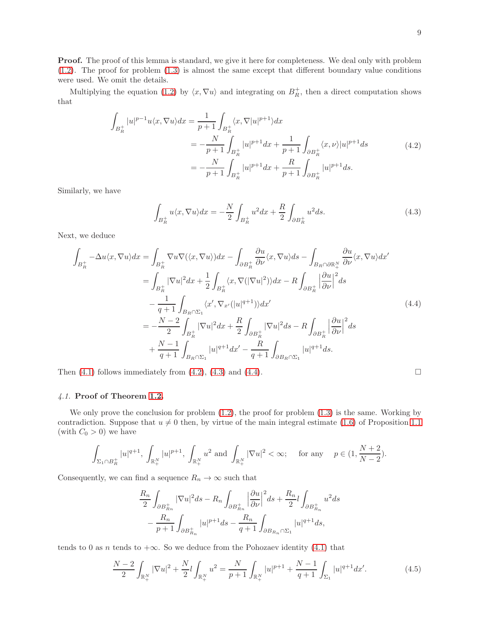**Proof.** The proof of this lemma is standard, we give it here for completeness. We deal only with problem [\(1.2\)](#page-1-0). The proof for problem [\(1.3\)](#page-1-1) is almost the same except that different boundary value conditions were used. We omit the details.

Multiplying the equation [\(1.2\)](#page-1-0) by  $\langle x, \nabla u \rangle$  and integrating on  $B_R^+$ , then a direct computation shows that

$$
\int_{B_R^+} |u|^{p-1} u \langle x, \nabla u \rangle dx = \frac{1}{p+1} \int_{B_R^+} \langle x, \nabla |u|^{p+1} \rangle dx
$$
\n
$$
= -\frac{N}{p+1} \int_{B_R^+} |u|^{p+1} dx + \frac{1}{p+1} \int_{\partial B_R^+} \langle x, \nu \rangle |u|^{p+1} ds
$$
\n
$$
= -\frac{N}{p+1} \int_{B_R^+} |u|^{p+1} dx + \frac{R}{p+1} \int_{\partial B_R^+} |u|^{p+1} ds.
$$
\n(4.2)

Similarly, we have

<span id="page-8-2"></span><span id="page-8-1"></span><span id="page-8-0"></span>
$$
\int_{B_R^+} u \langle x, \nabla u \rangle dx = -\frac{N}{2} \int_{B_R^+} u^2 dx + \frac{R}{2} \int_{\partial B_R^+} u^2 ds.
$$
\n(4.3)

Next, we deduce

$$
\int_{B_R^+} -\Delta u \langle x, \nabla u \rangle dx = \int_{B_R^+} \nabla u \nabla (\langle x, \nabla u \rangle) dx - \int_{\partial B_R^+} \frac{\partial u}{\partial \nu} \langle x, \nabla u \rangle ds - \int_{B_R \cap \partial \mathbb{R}_+^N} \frac{\partial u}{\partial \nu} \langle x, \nabla u \rangle dx'
$$
\n
$$
= \int_{B_R^+} |\nabla u|^2 dx + \frac{1}{2} \int_{B_R^+} \langle x, \nabla (|\nabla u|^2) \rangle dx - R \int_{\partial B_R^+} \left| \frac{\partial u}{\partial \nu} \right|^2 ds
$$
\n
$$
- \frac{1}{q+1} \int_{B_R \cap \Sigma_1} \langle x', \nabla_{x'} (|u|^{q+1}) \rangle dx'
$$
\n
$$
= -\frac{N-2}{2} \int_{B_R^+} |\nabla u|^2 dx + \frac{R}{2} \int_{\partial B_R^+} |\nabla u|^2 ds - R \int_{\partial B_R^+} \left| \frac{\partial u}{\partial \nu} \right|^2 ds
$$
\n
$$
+ \frac{N-1}{q+1} \int_{B_R \cap \Sigma_1} |u|^{q+1} dx' - \frac{R}{q+1} \int_{\partial B_R \cap \Sigma_1} |u|^{q+1} ds.
$$
\n(4.4)

Then  $(4.1)$  follows immediately from  $(4.2)$ ,  $(4.3)$  and  $(4.4)$ .

# *4.1.* Proof of Theorem [1.2.](#page-2-1)

We only prove the conclusion for problem  $(1.2)$ , the proof for problem  $(1.3)$  is the same. Working by contradiction. Suppose that  $u \neq 0$  then, by virtue of the main integral estimate [\(1.6\)](#page-3-0) of Proposition [1.1](#page-2-4) (with  $C_0 > 0$ ) we have

$$
\int_{\Sigma_1\cap B_R^+}|u|^{q+1},\ \int_{\mathbb{R}_+^N}|u|^{p+1},\ \int_{\mathbb{R}_+^N}u^2\ \text{and}\ \int_{\mathbb{R}_+^N}|\nabla u|^2<\infty;\quad \text{ for any }\quad p\in(1,\frac{N+2}{N-2}).
$$

Consequently, we can find a sequence  $R_n \to \infty$  such that

$$
\frac{R_n}{2} \int_{\partial B_{R_n}^+} |\nabla u|^2 ds - R_n \int_{\partial B_{R_n}^+} \left| \frac{\partial u}{\partial \nu} \right|^2 ds + \frac{R_n}{2} l \int_{\partial B_{R_n}^+} u^2 ds
$$

$$
- \frac{R_n}{p+1} \int_{\partial B_{R_n}^+} |u|^{p+1} ds - \frac{R_n}{q+1} \int_{\partial B_{R_n} \cap \Sigma_1} |u|^{q+1} ds,
$$

tends to 0 as n tends to  $+\infty$ . So we deduce from the Pohozaev identity [\(4.1\)](#page-7-1) that

<span id="page-8-3"></span>
$$
\frac{N-2}{2} \int_{\mathbb{R}_+^N} |\nabla u|^2 + \frac{N}{2} l \int_{\mathbb{R}_+^N} u^2 = \frac{N}{p+1} \int_{\mathbb{R}_+^N} |u|^{p+1} + \frac{N-1}{q+1} \int_{\Sigma_1} |u|^{q+1} dx'. \tag{4.5}
$$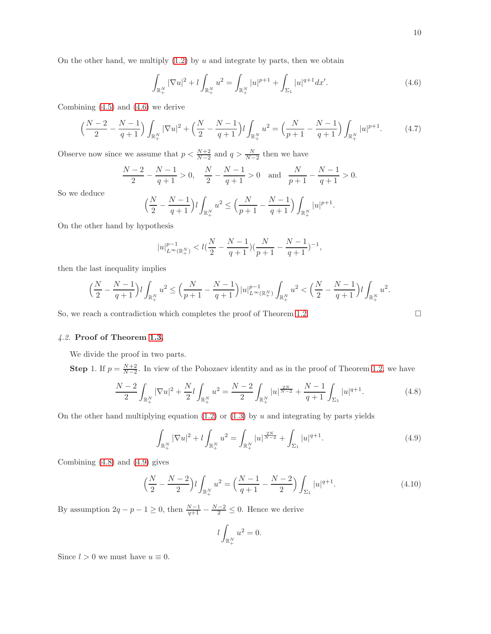<span id="page-9-0"></span>
$$
\int_{\mathbb{R}^N_+} |\nabla u|^2 + l \int_{\mathbb{R}^N_+} u^2 = \int_{\mathbb{R}^N_+} |u|^{p+1} + \int_{\Sigma_1} |u|^{q+1} dx'. \tag{4.6}
$$

Combining [\(4.5\)](#page-8-3) and [\(4.6\)](#page-9-0) we derive

$$
\left(\frac{N-2}{2} - \frac{N-1}{q+1}\right) \int_{\mathbb{R}_+^N} |\nabla u|^2 + \left(\frac{N}{2} - \frac{N-1}{q+1}\right) l \int_{\mathbb{R}_+^N} u^2 = \left(\frac{N}{p+1} - \frac{N-1}{q+1}\right) \int_{\mathbb{R}_+^N} |u|^{p+1}.\tag{4.7}
$$

Observe now since we assume that  $p < \frac{N+2}{N-2}$  and  $q > \frac{N}{N-2}$  then we have

$$
\frac{N-2}{2} - \frac{N-1}{q+1} > 0, \quad \frac{N}{2} - \frac{N-1}{q+1} > 0 \quad \text{and} \quad \frac{N}{p+1} - \frac{N-1}{q+1} > 0.
$$

So we deduce

$$
\left(\frac{N}{2} - \frac{N-1}{q+1}\right)l \int_{\mathbb{R}^N_+} u^2 \le \left(\frac{N}{p+1} - \frac{N-1}{q+1}\right) \int_{\mathbb{R}^N_+} |u|^{p+1}.
$$

On the other hand by hypothesis

$$
|u|_{L^{\infty}(\mathbb{R}^N_+)}^{p-1} < l(\frac{N}{2}-\frac{N-1}{q+1})(\frac{N}{p+1}-\frac{N-1}{q+1})^{-1},
$$

then the last inequality implies

$$
\Big(\frac{N}{2}-\frac{N-1}{q+1}\Big)l\int_{\mathbb{R}^N_+}u^2\leq \Big(\frac{N}{p+1}-\frac{N-1}{q+1}\Big)|u|^{p-1}_{L^\infty(\mathbb{R}^N_+)}\int_{\mathbb{R}^N_+}u^2<\Big(\frac{N}{2}-\frac{N-1}{q+1}\Big)l\int_{\mathbb{R}^N_+}u^2.
$$

So, we reach a contradiction which completes the proof of Theorem [1.2.](#page-2-1)

$$
\sqcup
$$

## *4.2.* Proof of Theorem [1.3.](#page-2-2)

We divide the proof in two parts.

**Step 1.** If  $p = \frac{N+2}{N-2}$ . In view of the Pohozaev identity and as in the proof of Theorem [1.2,](#page-2-1) we have

<span id="page-9-1"></span>
$$
\frac{N-2}{2} \int_{\mathbb{R}^N_+} |\nabla u|^2 + \frac{N}{2} l \int_{\mathbb{R}^N_+} u^2 = \frac{N-2}{2} \int_{\mathbb{R}^N_+} |u|^{\frac{2N}{N-2}} + \frac{N-1}{q+1} \int_{\Sigma_1} |u|^{q+1}.
$$
 (4.8)

On the other hand multiplying equation  $(1.2)$  or  $(1.3)$  by u and integrating by parts yields

<span id="page-9-2"></span>
$$
\int_{\mathbb{R}^N_+} |\nabla u|^2 + l \int_{\mathbb{R}^N_+} u^2 = \int_{\mathbb{R}^N_+} |u|^{\frac{2N}{N-2}} + \int_{\Sigma_1} |u|^{q+1}.
$$
\n(4.9)

Combining [\(4.8\)](#page-9-1) and [\(4.9\)](#page-9-2) gives

$$
\left(\frac{N}{2} - \frac{N-2}{2}\right)l \int_{\mathbb{R}_+^N} u^2 = \left(\frac{N-1}{q+1} - \frac{N-2}{2}\right) \int_{\Sigma_1} |u|^{q+1}.\tag{4.10}
$$

By assumption  $2q - p - 1 \ge 0$ , then  $\frac{N-1}{q+1} - \frac{N-2}{2} \le 0$ . Hence we derive

$$
l\int_{\mathbb{R}^N_+} u^2 = 0.
$$

Since  $l > 0$  we must have  $u \equiv 0$ .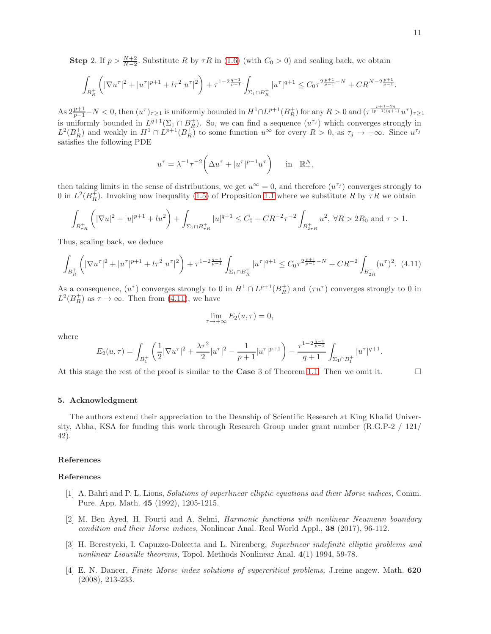**Step 2.** If  $p > \frac{N+2}{N-2}$ . Substitute R by  $\tau R$  in [\(1.6\)](#page-3-0) (with  $C_0 > 0$ ) and scaling back, we obtain

$$
\int_{B_R^+} \left( |\nabla u^\tau|^2 + |u^\tau|^{p+1} + l\tau^2|u^\tau|^2 \right) + \tau^{1-2\frac{q-1}{p-1}} \int_{\Sigma_1 \cap B_R^+} |u^\tau|^{q+1} \leq C_0 \tau^{2\frac{p+1}{p-1} - N} + C R^{N-2\frac{p+1}{p-1}}.
$$

As  $2\frac{p+1}{p-1}-N < 0$ , then  $(u^{\tau})_{\tau\geq 1}$  is uniformly bounded in  $H^1 \cap L^{p+1}(B_R^+)$  for any  $R > 0$  and  $(\tau^{\frac{p+1-2q}{(p-1)(q+1)}}u^{\tau})_{\tau\geq 1}$ is uniformly bounded in  $L^{q+1}(\Sigma_1 \cap B_R^+)$ . So, we can find a sequence  $(u^{\tau_j})$  which converges strongly in  $L^2(B_R^+)$  and weakly in  $H^1 \cap L^{p+1}(B_R^+)$  to some function  $u^{\infty}$  for every  $R > 0$ , as  $\tau_j \to +\infty$ . Since  $u^{\tau_j}$ satisfies the following PDE

$$
u^{\tau} = \lambda^{-1} \tau^{-2} \bigg( \Delta u^{\tau} + |u^{\tau}|^{p-1} u^{\tau} \bigg) \quad \text{in} \quad \mathbb{R}^N_+,
$$

then taking limits in the sense of distributions, we get  $u^{\infty} = 0$ , and therefore  $(u^{\tau_j})$  converges strongly to 0 in  $L^2(B_R^+)$ . Invoking now inequality [\(1.5\)](#page-2-3) of Proposition [1.1](#page-2-4) where we substitute R by  $\tau R$  we obtain

$$
\int_{B_{\tau R}^+} \left( |\nabla u|^2 + |u|^{p+1} + lu^2 \right) + \int_{\Sigma_1 \cap B_{\tau R}^+} |u|^{q+1} \le C_0 + CR^{-2} \tau^{-2} \int_{B_{2\tau R}^+} u^2, \ \forall R > 2R_0 \text{ and } \tau > 1.
$$

Thus, scaling back, we deduce

<span id="page-10-4"></span>
$$
\int_{B_R^+} \left( |\nabla u^\tau|^2 + |u^\tau|^{p+1} + l\tau^2 |u^\tau|^2 \right) + \tau^{1-2\frac{q-1}{p-1}} \int_{\Sigma_1 \cap B_R^+} |u^\tau|^{q+1} \le C_0 \tau^{2\frac{p+1}{p-1} - N} + CR^{-2} \int_{B_{2R}^+} (u^\tau)^2. \tag{4.11}
$$

As a consequence,  $(u^{\tau})$  converges strongly to 0 in  $H^1 \cap L^{p+1}(B_R^+)$  and  $(\tau u^{\tau})$  converges strongly to 0 in  $L^2(B_R^+)$  as  $\tau \to \infty$ . Then from [\(4.11\)](#page-10-4), we have

$$
\lim_{\tau \to +\infty} E_2(u, \tau) = 0,
$$

where

$$
E_2(u,\tau)=\int_{B_1^+}\left(\frac{1}{2}|\nabla u^\tau|^2+\frac{\lambda\tau^2}{2}|u^\tau|^2-\frac{1}{p+1}|u^\tau|^{p+1}\right)-\frac{\tau^{1-2\frac{q-1}{p-1}}}{q+1}\int_{\Sigma_1\cap B_1^+}|u^\tau|^{q+1}.
$$

At this stage the rest of the proof is similar to the **Case** 3 of Theorem [1.1.](#page-2-0) Then we omit it.  $\square$ 

## 5. Acknowledgment

The authors extend their appreciation to the Deanship of Scientific Research at King Khalid University, Abha, KSA for funding this work through Research Group under grant number (R.G.P-2 / 121/ 42).

## References

### References

- <span id="page-10-0"></span>[1] A. Bahri and P. L. Lions, *Solutions of superlinear elliptic equations and their Morse indices,* Comm. Pure. App. Math. 45 (1992), 1205-1215.
- <span id="page-10-1"></span>[2] M. Ben Ayed, H. Fourti and A. Selmi, *Harmonic functions with nonlinear Neumann boundary condition and their Morse indices,* Nonlinear Anal. Real World Appl., 38 (2017), 96-112.
- <span id="page-10-3"></span>[3] H. Berestycki, I. Capuzzo-Dolcetta and L. Nirenberg, *Superlinear indefinite elliptic problems and nonlinear Liouville theorems,* Topol. Methods Nonlinear Anal. 4(1) 1994, 59-78.
- <span id="page-10-2"></span>[4] E. N. Dancer, *Finite Morse index solutions of supercritical problems,* J.reine angew. Math. 620 (2008), 213-233.